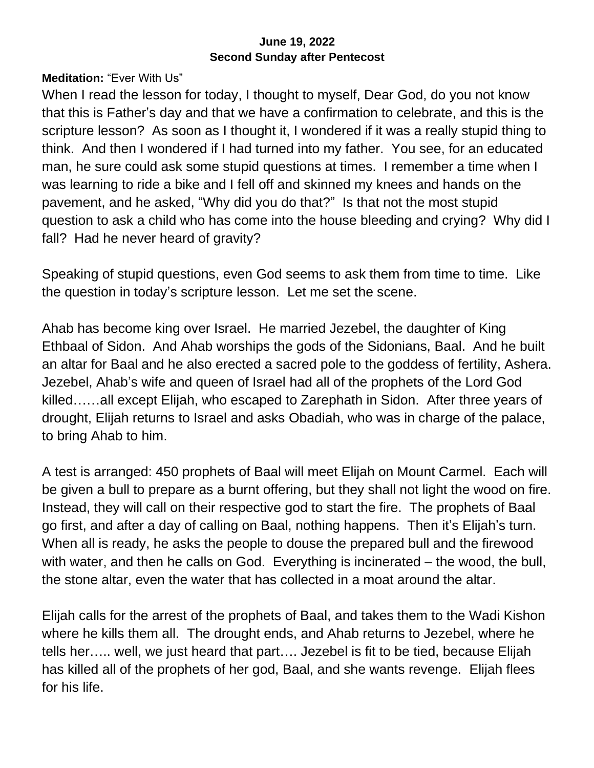## **June 19, 2022 Second Sunday after Pentecost**

**Meditation:** "Ever With Us"

When I read the lesson for today, I thought to myself, Dear God, do you not know that this is Father's day and that we have a confirmation to celebrate, and this is the scripture lesson? As soon as I thought it, I wondered if it was a really stupid thing to think. And then I wondered if I had turned into my father. You see, for an educated man, he sure could ask some stupid questions at times. I remember a time when I was learning to ride a bike and I fell off and skinned my knees and hands on the pavement, and he asked, "Why did you do that?" Is that not the most stupid question to ask a child who has come into the house bleeding and crying? Why did I fall? Had he never heard of gravity?

Speaking of stupid questions, even God seems to ask them from time to time. Like the question in today's scripture lesson. Let me set the scene.

Ahab has become king over Israel. He married Jezebel, the daughter of King Ethbaal of Sidon. And Ahab worships the gods of the Sidonians, Baal. And he built an altar for Baal and he also erected a sacred pole to the goddess of fertility, Ashera. Jezebel, Ahab's wife and queen of Israel had all of the prophets of the Lord God killed……all except Elijah, who escaped to Zarephath in Sidon. After three years of drought, Elijah returns to Israel and asks Obadiah, who was in charge of the palace, to bring Ahab to him.

A test is arranged: 450 prophets of Baal will meet Elijah on Mount Carmel. Each will be given a bull to prepare as a burnt offering, but they shall not light the wood on fire. Instead, they will call on their respective god to start the fire. The prophets of Baal go first, and after a day of calling on Baal, nothing happens. Then it's Elijah's turn. When all is ready, he asks the people to douse the prepared bull and the firewood with water, and then he calls on God. Everything is incinerated – the wood, the bull, the stone altar, even the water that has collected in a moat around the altar.

Elijah calls for the arrest of the prophets of Baal, and takes them to the Wadi Kishon where he kills them all. The drought ends, and Ahab returns to Jezebel, where he tells her….. well, we just heard that part…. Jezebel is fit to be tied, because Elijah has killed all of the prophets of her god, Baal, and she wants revenge. Elijah flees for his life.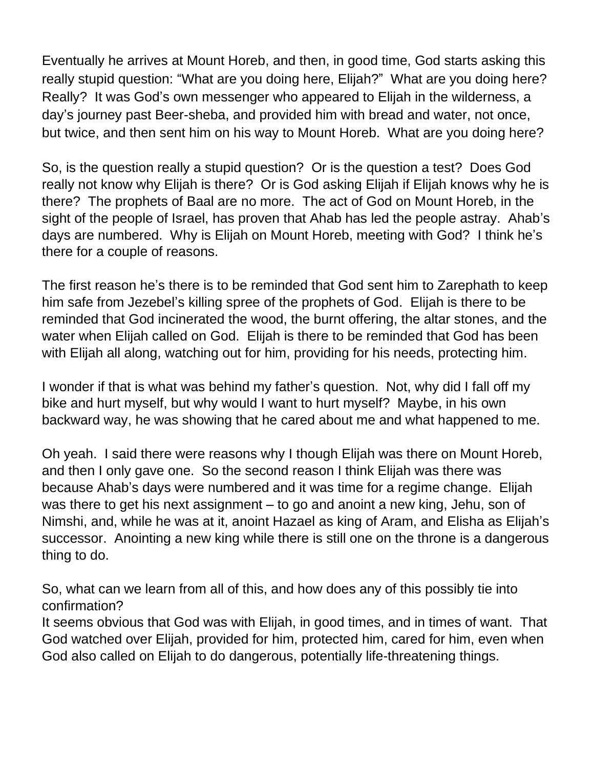Eventually he arrives at Mount Horeb, and then, in good time, God starts asking this really stupid question: "What are you doing here, Elijah?" What are you doing here? Really? It was God's own messenger who appeared to Elijah in the wilderness, a day's journey past Beer-sheba, and provided him with bread and water, not once, but twice, and then sent him on his way to Mount Horeb. What are you doing here?

So, is the question really a stupid question? Or is the question a test? Does God really not know why Elijah is there? Or is God asking Elijah if Elijah knows why he is there? The prophets of Baal are no more. The act of God on Mount Horeb, in the sight of the people of Israel, has proven that Ahab has led the people astray. Ahab's days are numbered. Why is Elijah on Mount Horeb, meeting with God? I think he's there for a couple of reasons.

The first reason he's there is to be reminded that God sent him to Zarephath to keep him safe from Jezebel's killing spree of the prophets of God. Elijah is there to be reminded that God incinerated the wood, the burnt offering, the altar stones, and the water when Elijah called on God. Elijah is there to be reminded that God has been with Elijah all along, watching out for him, providing for his needs, protecting him.

I wonder if that is what was behind my father's question. Not, why did I fall off my bike and hurt myself, but why would I want to hurt myself? Maybe, in his own backward way, he was showing that he cared about me and what happened to me.

Oh yeah. I said there were reasons why I though Elijah was there on Mount Horeb, and then I only gave one. So the second reason I think Elijah was there was because Ahab's days were numbered and it was time for a regime change. Elijah was there to get his next assignment – to go and anoint a new king, Jehu, son of Nimshi, and, while he was at it, anoint Hazael as king of Aram, and Elisha as Elijah's successor. Anointing a new king while there is still one on the throne is a dangerous thing to do.

So, what can we learn from all of this, and how does any of this possibly tie into confirmation?

It seems obvious that God was with Elijah, in good times, and in times of want. That God watched over Elijah, provided for him, protected him, cared for him, even when God also called on Elijah to do dangerous, potentially life-threatening things.